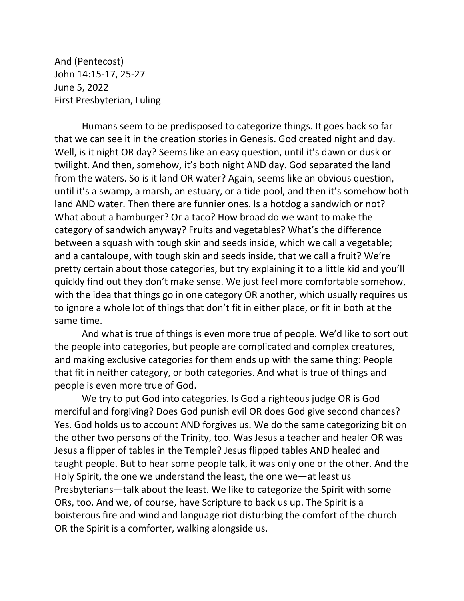And (Pentecost) John 14:15-17, 25-27 June 5, 2022 First Presbyterian, Luling

Humans seem to be predisposed to categorize things. It goes back so far that we can see it in the creation stories in Genesis. God created night and day. Well, is it night OR day? Seems like an easy question, until it's dawn or dusk or twilight. And then, somehow, it's both night AND day. God separated the land from the waters. So is it land OR water? Again, seems like an obvious question, until it's a swamp, a marsh, an estuary, or a tide pool, and then it's somehow both land AND water. Then there are funnier ones. Is a hotdog a sandwich or not? What about a hamburger? Or a taco? How broad do we want to make the category of sandwich anyway? Fruits and vegetables? What's the difference between a squash with tough skin and seeds inside, which we call a vegetable; and a cantaloupe, with tough skin and seeds inside, that we call a fruit? We're pretty certain about those categories, but try explaining it to a little kid and you'll quickly find out they don't make sense. We just feel more comfortable somehow, with the idea that things go in one category OR another, which usually requires us to ignore a whole lot of things that don't fit in either place, or fit in both at the same time.

And what is true of things is even more true of people. We'd like to sort out the people into categories, but people are complicated and complex creatures, and making exclusive categories for them ends up with the same thing: People that fit in neither category, or both categories. And what is true of things and people is even more true of God.

We try to put God into categories. Is God a righteous judge OR is God merciful and forgiving? Does God punish evil OR does God give second chances? Yes. God holds us to account AND forgives us. We do the same categorizing bit on the other two persons of the Trinity, too. Was Jesus a teacher and healer OR was Jesus a flipper of tables in the Temple? Jesus flipped tables AND healed and taught people. But to hear some people talk, it was only one or the other. And the Holy Spirit, the one we understand the least, the one we—at least us Presbyterians—talk about the least. We like to categorize the Spirit with some ORs, too. And we, of course, have Scripture to back us up. The Spirit is a boisterous fire and wind and language riot disturbing the comfort of the church OR the Spirit is a comforter, walking alongside us.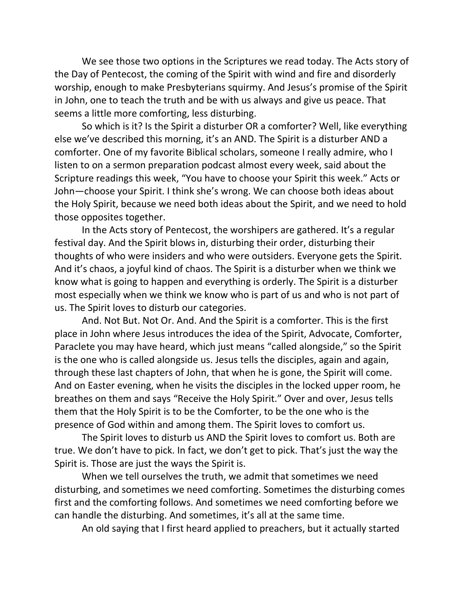We see those two options in the Scriptures we read today. The Acts story of the Day of Pentecost, the coming of the Spirit with wind and fire and disorderly worship, enough to make Presbyterians squirmy. And Jesus's promise of the Spirit in John, one to teach the truth and be with us always and give us peace. That seems a little more comforting, less disturbing.

So which is it? Is the Spirit a disturber OR a comforter? Well, like everything else we've described this morning, it's an AND. The Spirit is a disturber AND a comforter. One of my favorite Biblical scholars, someone I really admire, who I listen to on a sermon preparation podcast almost every week, said about the Scripture readings this week, "You have to choose your Spirit this week." Acts or John—choose your Spirit. I think she's wrong. We can choose both ideas about the Holy Spirit, because we need both ideas about the Spirit, and we need to hold those opposites together.

In the Acts story of Pentecost, the worshipers are gathered. It's a regular festival day. And the Spirit blows in, disturbing their order, disturbing their thoughts of who were insiders and who were outsiders. Everyone gets the Spirit. And it's chaos, a joyful kind of chaos. The Spirit is a disturber when we think we know what is going to happen and everything is orderly. The Spirit is a disturber most especially when we think we know who is part of us and who is not part of us. The Spirit loves to disturb our categories.

And. Not But. Not Or. And. And the Spirit is a comforter. This is the first place in John where Jesus introduces the idea of the Spirit, Advocate, Comforter, Paraclete you may have heard, which just means "called alongside," so the Spirit is the one who is called alongside us. Jesus tells the disciples, again and again, through these last chapters of John, that when he is gone, the Spirit will come. And on Easter evening, when he visits the disciples in the locked upper room, he breathes on them and says "Receive the Holy Spirit." Over and over, Jesus tells them that the Holy Spirit is to be the Comforter, to be the one who is the presence of God within and among them. The Spirit loves to comfort us.

The Spirit loves to disturb us AND the Spirit loves to comfort us. Both are true. We don't have to pick. In fact, we don't get to pick. That's just the way the Spirit is. Those are just the ways the Spirit is.

When we tell ourselves the truth, we admit that sometimes we need disturbing, and sometimes we need comforting. Sometimes the disturbing comes first and the comforting follows. And sometimes we need comforting before we can handle the disturbing. And sometimes, it's all at the same time.

An old saying that I first heard applied to preachers, but it actually started